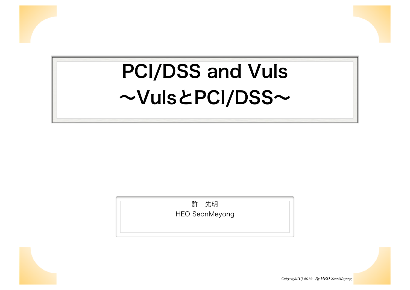# PCI/DSS and Vuls ~VulsとPCI/DSS~

許 先明 HEO SeonMeyong



*Copyright(C) 2012- By HEO SeonMeyong*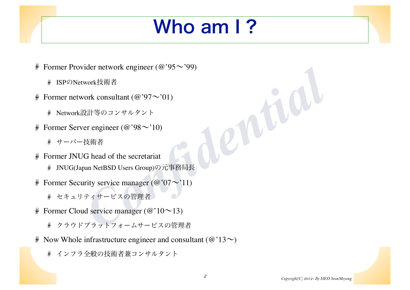## Who am I?

- Former Provider network engineer ( $@$ '95 $\sim$ '99)
	- ISPのNetwork技術者
- Former network consultant  $(\omega$ '97 $\sim$ '01) ¥
	- ※ Network設計等のコンサルタント
- Former Server engineer ( $@$ '98 $\sim$ '10) ¥
	- ※ サーバー技術者
- Former JNUG head of the secretariat š
	- JNUG(Japan NetBSD Users Group)の元事務局長
- rder network engineer (@ '97~'01)<br>work技術者<br>cork consultant (@ '97~'01)<br>#計等のコンサルタント<br>er engineer (@ '98~'10)<br>技術者<br>G head of the secretariat<br>man NetBSD Users Group)の元事務局長<br>rity service manager (@ '07~'11)<br>ティサービスの管理者<br>d service Former Security service manager  $(\omega'07\sim'11)$ ¥
	- ※ セキュリティサービスの管理者
- Former Cloud service manager ( $@'10 \sim 13$ ) ž
	- クラウドプラットフォームサービスの管理者
- Now Whole infrastructure engineer and consultant ( $\omega$ '13 $\sim$ ) ¥.
	- インフラ全般の技術者兼コンサルタント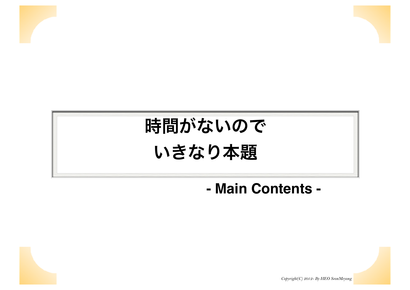

### **- Main Contents -**



*Copyright(C) 2012- By HEO SeonMeyong*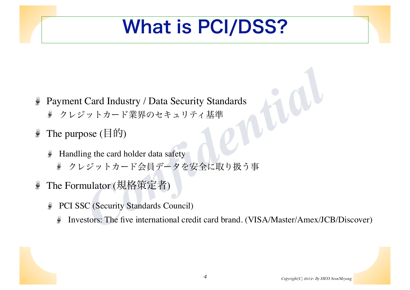### What is PCI/DSS?

- Card Industry / Data Security Standards<br>
<sup>シ</sup>ットカード業界のセキュリティ基準<br>
ose (目的)<br>
ng the card holder data safety<br>
ジットカード会員データを安全に取り扱う事<br>
nulator (規格策定者)<br>
C (Security Standards Council)<br>
stors: The five international credit card bra Payment Card Industry / Data Security Standards š
	- クレジットカード業界のセキュリティ基準
- The purpose (目的) ¥
	- Handling the card holder data safety S
		- S クレジットカード会員データを安全に取り扱う事
- The Formulator (規格策定者) ₹
	- PCI SSC (Security Standards Council) ë
		- Investors: The five international credit card brand. (VISA/Master/Amex/JCB/Discover)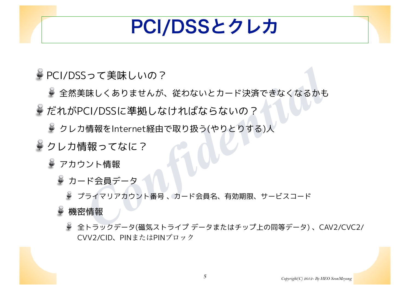### PCI/DSSとクレカ

PCI/DSSって美味しいの?

- Sって美味しいの?<br>『味しくありませんが、従わないとカード決済できなくなるかも<br>CI/DSSに準拠しなければならないの?<br>『情報をInternet経由で取り扱う(やりとりする)人<br>「<br>『天気員データ<br><sup>?</sup>ライマリアカウント番号、カード会員名、有効期限、サービスコード<br><sup>?</sup>ライマリアカウント番号、カード会員名、有効期限、サービスコード<br>『情報 全然美味しくありませんが、従わないとカード決済できなくなるかも
- $\rightarrow$  だれがPCI/DSSに準拠しなければならないの?
	- クレカ情報をInternet経由で取り扱う(やりとりする)人
- ※クレカ情報ってなに?
	- ※ アカウント情報
		- カード会員データ
			- プライマリアカウント番号 、カード会員名、有効期限、サービスコード

機密情報

全トラックデータ(磁気ストライプ データまたはチップ上の同等データ) 、CAV2/CVC2/ CVV2/CID、PINまたはPINブロック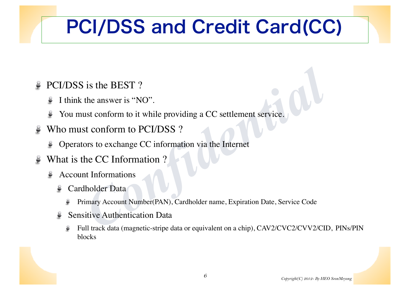## PCI/DSS and Credit Card(CC)

- PCI/DSS is the BEST ?
	- I think the answer is "NO".
	- You must conform to it while providing a CC settlement service. پ
- Who must conform to PCI/DSS ?
	- Operators to exchange CC information via the Internet
- What is the CC Information ?
	- Account Informations
		- Cardholder Data
- is the BEST ?<br>
the answer is "NO".<br>
ust conform to it while providing a CC settlement service.<br>
St conform to PCI/DSS ?<br>
ors to exchange CC information via the Internet<br>
the CC Information ?<br>
the CC Information ?<br>
the CC I Primary Account Number(PAN), Cardholder name, Expiration Date, Service Code
	- Sensitive Authentication Data
		- Full track data (magnetic-stripe data or equivalent on a chip), CAV2/CVC2/CVV2/CID, PINs/PIN blocks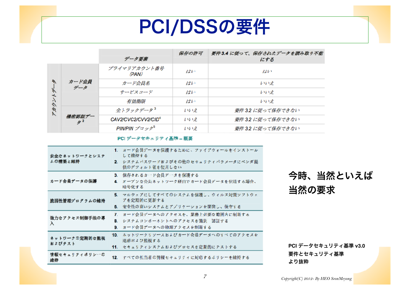### PCI/DSSの要件

|         |                           |                       | 保存の許可 | 要件3.4 に従って、保存されたデータを読み取り不能 |
|---------|---------------------------|-----------------------|-------|----------------------------|
|         |                           | データ要素                 |       | にする                        |
| 下<br>アガ | カード会員<br>データ              | プライマリアカウント番号<br>(PAN) | はい    | ばい                         |
|         |                           | カード会員名                | はい    | いいえ                        |
|         |                           | サービスコード               | はい    | レル・オ                       |
|         |                           | 有効期限                  | はい    | いいえ                        |
|         | 機密認証デー<br>$\mathscr{F}^2$ | 全トラックデータ <sup>3</sup> | いいえ   | 要件 3.2 に従って保存できない          |
|         |                           | CAV2/CVC2/CVV2/CID4   | いいえ   | 要件 3.2 に従って保存できない          |
|         |                           | PIN/PIN ブロック          | いいえ   | 要件 3.2 に従って保存できない          |

| ۸<br>氺                                                    | カード会員<br>データ                                                                                                    | プライマリアカウント番号<br>(PAN)                                                                | はい                                                           | ばい                  |                      |           |  |
|-----------------------------------------------------------|-----------------------------------------------------------------------------------------------------------------|--------------------------------------------------------------------------------------|--------------------------------------------------------------|---------------------|----------------------|-----------|--|
|                                                           |                                                                                                                 | カード会員名                                                                               | はい                                                           | いいえ                 |                      |           |  |
|                                                           |                                                                                                                 | サービスコード                                                                              | はい                                                           | いいえ                 |                      |           |  |
| アカウント                                                     |                                                                                                                 | 有効期限                                                                                 | はい                                                           | いいえ                 |                      |           |  |
|                                                           | 機密認証デー<br>$\mathscr{F}^2$                                                                                       | 全トラックデータ <sup>3</sup>                                                                | いいえ                                                          | 要件 3.2 に従って保存できない   |                      |           |  |
|                                                           |                                                                                                                 | CAV2/CVC2/CVV2/CID <sup>4</sup>                                                      | いいえ                                                          | 要件 3.2 に従って保存できない   |                      |           |  |
|                                                           |                                                                                                                 | PIN/PIN $\mathcal{I} \mathbb{Z} \times \mathbb{Z}^5$                                 | いいえ                                                          | 要件 3.2 に従って保存できない   |                      |           |  |
|                                                           | 安全なネットワークとシステ                                                                                                   | PCI データセキュリティ基準 - 概要<br>1. カード会員データを保護するために、ファイアウォールをインストール<br>して維持する                |                                                              |                     |                      |           |  |
|                                                           | ムの構築と維持                                                                                                         |                                                                                      | 2. システムパスワードおよびその他のセキュリティパラメータにベンダ提<br>供のデフォルト値を使用しない        |                     |                      |           |  |
|                                                           | カード会員データの保護                                                                                                     | 暗号化する                                                                                | 3. 保存されるカード会員データを保護する<br>4. オープンな公共ネットワーク経由でカード会員データを伝送する場合、 |                     |                      | 今時、当然といえば |  |
| 脆弱性管理プログラムの維持                                             |                                                                                                                 | 5. マルウェアにしてすべてのシステムを保護し、ウィルス対策ソフトウェ<br>アを定期的に更新する<br>6. 安全性の高いシステムとアプリケーションを開発し、保守する |                                                              |                     | 当然の要求                |           |  |
| λ                                                         | 7. カード会員データへのアクセスを、業務上必要な範囲内に制限する<br>強力なアクセス制御手法の導<br>B. システムコンポーネントへのアクセスを識別 認証する<br>9. カード会員データへの物理アクセスを制限する  |                                                                                      |                                                              |                     |                      |           |  |
|                                                           | 10. ネットワークリソースおよびカード会員データへのすべてのアクセスを<br>ネットワークの定期的な監視<br>追跡および監視する<br>およびテスト<br>11. セキュリティシステムおよびブロセスを定期的にテストする |                                                                                      |                                                              |                     | PCI データセキュリティ基準 v3.0 |           |  |
| 情報セキュリティポリシーの<br>12. すべての担当者の情報セキュリティに対応するポリシーを維持する<br>維持 |                                                                                                                 |                                                                                      |                                                              | 要件とセキュリティ基準<br>より抜粋 |                      |           |  |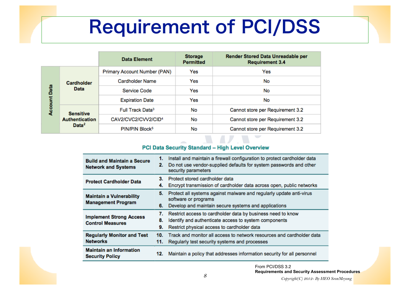### Requirement of PCI/DSS

|                     |                                                                | <b>Data Element</b>             | <b>Storage</b><br><b>Permitted</b> | <b>Render Stored Data Unreadable per</b><br><b>Requirement 3.4</b> |  |
|---------------------|----------------------------------------------------------------|---------------------------------|------------------------------------|--------------------------------------------------------------------|--|
|                     | <b>Cardholder</b><br><b>Data</b>                               | Primary Account Number (PAN)    | Yes                                | Yes                                                                |  |
|                     |                                                                | <b>Cardholder Name</b>          | Yes                                | No                                                                 |  |
|                     |                                                                | Service Code                    | Yes                                | No                                                                 |  |
| <b>Account Data</b> |                                                                | <b>Expiration Date</b>          | Yes                                | No                                                                 |  |
|                     | <b>Sensitive</b><br><b>Authentication</b><br>Data <sup>2</sup> | Full Track Data <sup>3</sup>    | No                                 | Cannot store per Requirement 3.2                                   |  |
|                     |                                                                | CAV2/CVC2/CVV2/CID <sup>4</sup> | No                                 | Cannot store per Requirement 3.2                                   |  |
|                     |                                                                | PIN/PIN Block <sup>5</sup>      | No                                 | Cannot store per Requirement 3.2                                   |  |

| older<br>ta                                                                                                                | Primary Account Number (PAN)    |                                                                                                                                                                       | Yes                                                                                                                                                                 | Yes                              |  |
|----------------------------------------------------------------------------------------------------------------------------|---------------------------------|-----------------------------------------------------------------------------------------------------------------------------------------------------------------------|---------------------------------------------------------------------------------------------------------------------------------------------------------------------|----------------------------------|--|
|                                                                                                                            | <b>Cardholder Name</b>          |                                                                                                                                                                       | Yes                                                                                                                                                                 | No                               |  |
|                                                                                                                            | Service Code                    |                                                                                                                                                                       | Yes                                                                                                                                                                 | No                               |  |
|                                                                                                                            |                                 | <b>Expiration Date</b>                                                                                                                                                |                                                                                                                                                                     | No                               |  |
| itive                                                                                                                      | Full Track Data <sup>3</sup>    |                                                                                                                                                                       | No                                                                                                                                                                  | Cannot store per Requirement 3.2 |  |
| ication<br>ta <sup>2</sup>                                                                                                 | CAV2/CVC2/CVV2/CID <sup>4</sup> |                                                                                                                                                                       | No                                                                                                                                                                  | Cannot store per Requirement 3.2 |  |
|                                                                                                                            | PIN/PIN Block <sup>5</sup>      |                                                                                                                                                                       | No                                                                                                                                                                  | Cannot store per Requirement 3.2 |  |
| PCI Data Security Standard - High Level Overview                                                                           |                                 |                                                                                                                                                                       |                                                                                                                                                                     |                                  |  |
| 1.<br><b>Build and Maintain a Secure</b><br>2.<br><b>Network and Systems</b><br>3.<br><b>Protect Cardholder Data</b><br>4. |                                 | Install and maintain a firewall configuration to protect cardholder data<br>Do not use vendor-supplied defaults for system passwords and other<br>security parameters |                                                                                                                                                                     |                                  |  |
|                                                                                                                            |                                 |                                                                                                                                                                       | Protect stored cardholder data<br>Encrypt transmission of cardholder data across open, public networks                                                              |                                  |  |
| 5.<br><b>Maintain a Vulnerability</b><br><b>Management Program</b><br>6.                                                   |                                 | Protect all systems against malware and regularly update anti-virus<br>software or programs<br>Develop and maintain secure systems and applications                   |                                                                                                                                                                     |                                  |  |
| 7.<br><b>Implement Strong Access</b><br>8.<br><b>Control Measures</b><br>9.                                                |                                 |                                                                                                                                                                       | Restrict access to cardholder data by business need to know<br>Identify and authenticate access to system components<br>Restrict physical access to cardholder data |                                  |  |
| <b>Regularly Monitor and Test</b><br><b>Networks</b><br><b>Maintain an Information</b><br><b>Security Policy</b>           |                                 | 10.<br>11.                                                                                                                                                            | Track and monitor all access to network resources and cardholder data<br>Regularly test security systems and processes                                              |                                  |  |
|                                                                                                                            |                                 | 12.                                                                                                                                                                   | Maintain a policy that addresses information security for all personnel                                                                                             |                                  |  |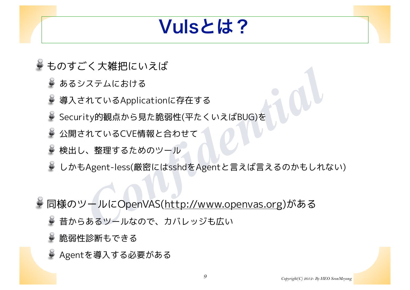### Vulsとは?

- ものすごく大雑把にいえば
	- あるシステムにおける
	- 導入されているApplicationに存在する
	- Security的観点から見た脆弱性(平たくいえばBUG)を
	- 公開されているCVE情報と合わせて
	- 検出し、整理するためのツール
	- しかもAgent-less(厳密にはsshdをAgentと言えば言えるのかもしれない)
- ヽ/<del>へ\*#\*Liといえは</del><br>"ステムにおける<br>"れているApplicationに存在する<br>"<br>"わているCVE情報と合わせて<br>"<br>"Agent-less(厳密にはsshdをAgentと言えば言えるのかもしれた<br>Agent-less(厳密にはsshdをAgentと言えば言えるのかもしれた<br>"Agent-less(厳密にはsshdをAgentと言えば言えるのかもしれた<br>"カールにOpenVAS(<u>http://www.openvas.</u> 同様のツールにOpenVAS(http://www.openvas.org)がある
	- 昔からあるツールなので、カバレッジも広い
	- 脆弱性診断もできる
	- Agentを導入する必要がある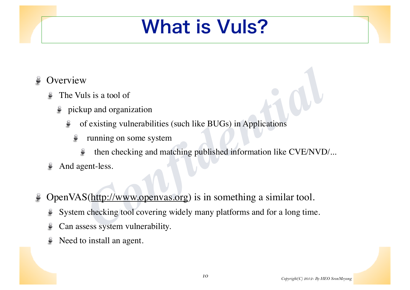### What is Vuls?

#### **Overview**

- The Vuls is a tool of
	- pickup and organization پ
		- of existing vulnerabilities (such like BUGs) in Applications Š
			- running on some system Ş
				- then checking and matching published information like CVE/NVD/...
- And agent-less.
- *Compared Solution*<br> *Confidential*<br> *Confidential*<br> *Confidential*<br> *Confidential*<br> *Confidential*<br> *Confidential*<br> *Confidential*<br> *Confidential*<br> *Confidential*<br> *Confidential*<br> *Confidential*<br> *Confidential*<br> *Confiden* OpenVAS(http://www.openvas.org) is in something a similar tool. ¥
	- System checking tool covering widely many platforms and for a long time.  $\epsilon$
	- Can assess system vulnerability.
	- Need to install an agent.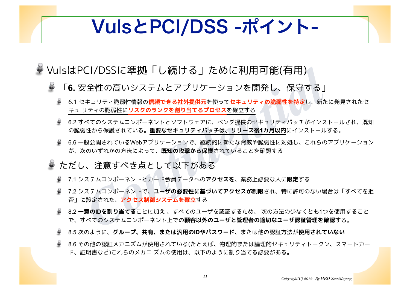### VulsとPCI/DSS -ポイント-

- VulsはPCI/DSSに準拠「し続ける」ために利用可能(有用)
	- Ö 「**6.** 安全性の高いシステムとアプリケーションを開発し、保守する」
		- 6.1 セキュリティ脆弱性情報の**信頼できる社外提供元**を使って**セキュリティの脆弱性を特定**し、新たに発見されたセ キュ リティの脆弱性に**リスクのランクを割り当てるプロセス**を確立する
- CI/DSSに準拠 | し続ける」ために利用可能(有用)<br>そ全性の高いシステムとアプリケーションを開発し、保守する」<br><u>(キュリティ跪調性情報の信頼できる社外提供元を使ってセキュリティの脆弱性を特定し、新た!<br>リティの脆弱性にリスクのランクを割り当てるプロセスを確立する<br>※てのシステムコンポーネントとソフトウェブに、ベンダ提供のセキュリティパッチがインストール。<br>般公開されている。重要なセキュリティパッチは、リース後1カ月以内にインス</u> 6.2 すべてのシステムコンポーネントとソフトウェアに、ベンダ提供のセキュリティパッチがインストールされ、既知 の脆弱性から保護されている。**重要なセキュリティパッチは、リリース後1カ月以内**にインストールする。
	- 6.6 一般公開されているWebアプリケーションで、継続的に新たな脅威や脆弱性に対処し、これらのアプリケーション が、次のいずれかの方法によって、**既知の攻撃から保護**されていることを確認する
	- ただし、注意すべき点として以下がある
		- 7.1 システムコンポーネントとカード会員データへの**アクセスを**、業務上必要な人に**限定**する
		- 7.2 システムコンポーネントで、**ユーザの必要性に基づいてアクセスが制限**され、特に許可のない場合は「すべてを拒 否」に設定された、**アクセス制御システムを確立**する
		- 8.2 **一意のIDを割り当てる**ことに加え 、すべてのユーザを認証するため、 次の方法の少なくとも1つを使用すること で、すべてのシステムコンポーネント上での**顧客以外のユーザと管理者の適切なユーザ認証管理を確認**する。
		- 8.5 次のように、**グループ、共有、または汎用のIDやパスワード**、または他の認証方法が**使用されていない**
		- 8.6 その他の認証メカニズムが使用されている(たとえば、物理的または論理的セキュリティトークン、スマートカー ド、証明書など)これらのメカニ ズムの使用は、以下のように割り当てる必要がある。

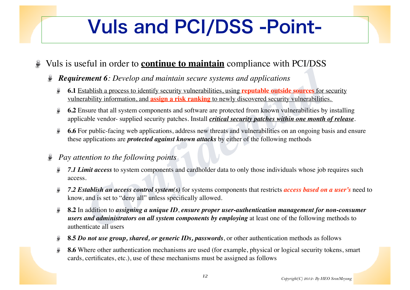## Vuls and PCI/DSS -Point-

#### Vuls is useful in order to **continue to maintain** compliance with PCI/DSS

- *Requirement 6: Develop and maintain secure systems and applications* 
	- **6.1** Establish a process to identify security vulnerabilities, using **reputable outside sources** for security vulnerability information, and **assign a risk ranking** to newly discovered security vulnerabilities.
	- **6.2** Ensure that all system components and software are protected from known vulnerabilities by installing applicable vendor- supplied security patches. Install *critical security patches within one month of release*.
	- **6.6** For public-facing web applications, address new threats and vulnerabilities on an ongoing basis and ensure Ç these applications are *protected against known attacks* by either of the following methods
- *Pay attention to the following points* Ş
	- *7.1 Limit access* to system components and cardholder data to only those individuals whose job requires such access.
	- Ş *7.2 Establish an access control system(s)* for systems components that restricts *access based on a user's* need to know, and is set to "deny all" unless specifically allowed.
- **Example 16:** Develop and maintain secure systems and applications<br> **Confidentially** a process to identify security vulnerabilities, using **reputable outside sources** for seability information, and assign a risk ranking to **8.2** In addition to *assigning a unique ID*, *ensure proper user-authentication management for non-consumer*  Ş *users and administrators on all system components by employing* at least one of the following methods to authenticate all users
	- **8.5** *Do not use group, shared, or generic IDs, passwords*, or other authentication methods as follows
	- **8.6** Where other authentication mechanisms are used (for example, physical or logical security tokens, smart cards, certificates, etc.), use of these mechanisms must be assigned as follows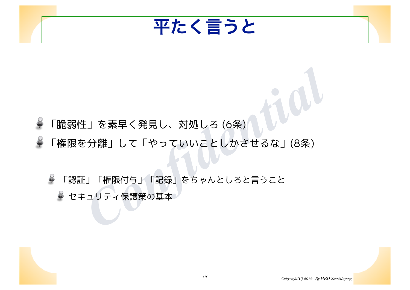

- Ş 「脆弱性」を素早く発見し、対処しろ (6条)
- ¥ 「権限を分離」して「やっていいことしかさせるな」(8条)

E」を素早く発見し、対処しろ (6条)<br>E分離」して「やっていいことしかさせるな」(8条)<br>E」「権限付与」「記録」をちゃんとしろと言うこと<br>-ュリティ保護策の基本 Ç 「認証」「権限付与」「記録」をちゃんとしろと言うこと セキュリティ保護策の基本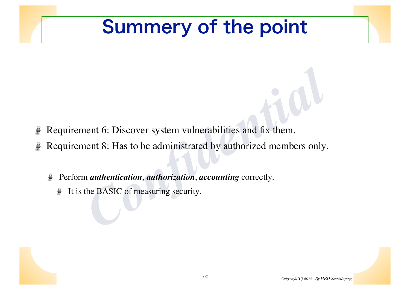### Summery of the point

- Requirement 6: Discover system vulnerabilities and fix them. Ç
- **Example 12**<br> **Confidence 12**<br> **Confidence 12**<br> **Confidence 12**<br> **Confidence 12**<br> **Confidence 12**<br> **Confidence 12**<br> **Confidence 12**<br> **Confidence 12**<br> **Confidence 12**<br> **Confidence 12**<br> **Confidence 12**<br> **Confidence 12**<br> **Con** Requirement 8: Has to be administrated by authorized members only. ¥
	- Perform *authentication*, *authorization*, *accounting* correctly.
		- It is the BASIC of measuring security. پ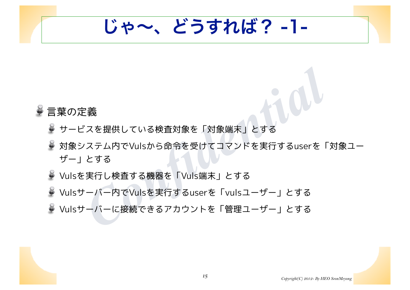じゃ~、どうすれば? -1-

### 言葉の定義

- サービスを提供している検査対象を「対象端末」とする
- <sup>-</sup><br>バスを提供している検査対象を「対象端末」とする<br>/ステム内でVulsから命令を受けてコマンドを実行するuserを「<br>とする<br>- 実行し検査する機器を「Vuls端末」とする<br>- バー内でVulsを実行するuserを「vulsユーザー」とする<br>- バーに接続できるアカウントを「管理ユーザー」とする 対象システム内でVulsから命令を受けてコマンドを実行するuserを「対象ユー ザー」とする
- Vulsを実行し検査する機器を「Vuls端末」とする
- Vulsサーバー内でVulsを実行するuserを「vulsユーザー」とする
- Vulsサーバーに接続できるアカウントを「管理ユーザー」とする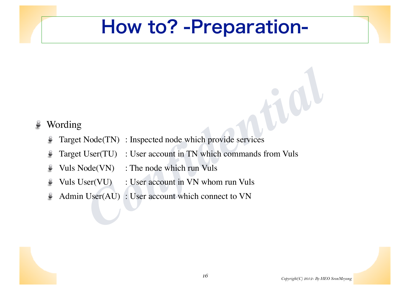### How to? -Preparation-

#### Wording ¥

- Target Node(TN) : Inspected node which provide services Ģ
- *Confidential*<br> *Confidential*<br> *Confidential*<br> *Confidential*<br> *Confidential*<br> *Confidential*<br> *Confidential*<br> *Confidential*<br> *Confidential*<br> *Confidential*<br> *Confidential*<br> *Confidential*<br> *Confidential*<br> *Confidential* Target User(TU) : User account in TN which commands from Vuls Ş
- Vuls Node(VN) : The node which run Vuls  $\epsilon$
- Vuls User(VU) : User account in VN whom run Vuls پ
- Admin User(AU) : User account which connect to VN Ş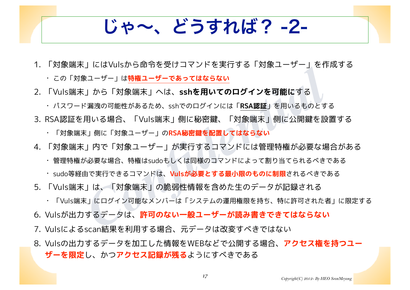じゃ~、どうすれば? -2-

1. 「対象端末」にはVulsから命令を受けコマンドを実行する「対象ユーザー」を作成する

• この「対象ユーザー」は**特権ユーザーであってはならない**

2. 「Vuls端末」から「対象端末」へは、**sshを用いてのログインを可能に**する

- 「<sup>ここ、「こ</sup>へ」」「これ」「これ」「これ」」「「これ」「コード」」<br><sub>Rユーザー」は<mark>特権ユーザーであってはならない</mark><br>『周波の可能性があるため、sshでのログインには「**RSA認証**」を用いるものとす。<br>『周波の可能性があるため、sshでのログインには「**RSA認証」**を用いるものとす。<br>用いる場合、「Vuls端末」側に秘密鍵、「対象端末」側に公開鍵を設け<br>K」側に「対象ユーザー」のRSA秘密鍵を配置してはならない<br>『リ内で「</sub> • パスワード漏洩の可能性があるため、sshでのログインには「**RSA認証**」を用いるものとする

3. RSA認証を用いる場合、「Vuls端末」側に秘密鍵、「対象端末」側に公開鍵を設置する

• 「対象端末」側に「対象ユーザー」の**RSA秘密鍵を配置してはならない**

- 4. 「対象端末」内で「対象ユーザー」が実行するコマンドには管理特権が必要な場合がある
	- 管理特権が必要な場合、特権はsudoもしくは同様のコマンドによって割り当てられるべきである
	- sudo等経由で実行できるコマンドは、**Vulsが必要とする最小限のものに制限**されるべきである
- 5. 「Vuls端末」は、「対象端末」の脆弱性情報を含めた生のデータが記録される
	- 「Vuls端末」にログイン可能なメンバーは「システムの運用権限を持ち、特に許可された者」に限定する
- 6. Vulsが出力するデータは、**許可のない一般ユーザーが読み書きできてはならない**
- 7. Vulsによるscan結果を利用する場合、元データは改変すべきではない
- 8. Vulsの出力するデータを加工した情報をWEBなどで公開する場合、**アクセス権を持つユー ザーを限定**し、かつ**アクセス記録が残る**ようにすべきである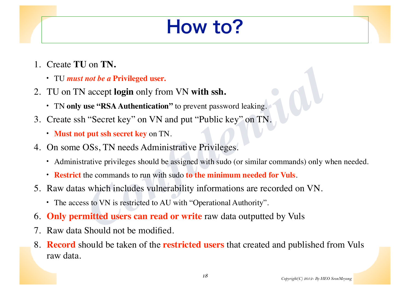## How to?

- 1. Create **TU** on **TN.**
	- TU *must not be a* **Privileged user.**
- 2. TU on TN accept **login** only from VN **with ssh.**
	- TN **only use "RSA Authentication"** to prevent password leaking.
- 3. Create ssh "Secret key" on VN and put "Public key" on TN.
	- **Must not put ssh secret key** on TN.
- 4. On some OSs, TN needs Administrative Privileges.
	- Administrative privileges should be assigned with sudo (or similar commands) only when needed.
	- **Restrict** the commands to run with sudo **to the minimum needed for Vuls**.
- *not be a Privileged user.*<br> **Confident Divileged user.**<br> **Confident Divileged user.**<br> **Confident Divileged user.**<br> **Confident Divileges:**<br> **Confident in the share every on TN.**<br> **Confident Divileges.**<br> **Confident Divile** 5. Raw datas which includes vulnerability informations are recorded on VN.
	- The access to VN is restricted to AU with "Operational Authority".
- 6. **Only permitted users can read or write** raw data outputted by Vuls
- 7. Raw data Should not be modified.
- 8. **Record** should be taken of the **restricted users** that created and published from Vuls raw data.